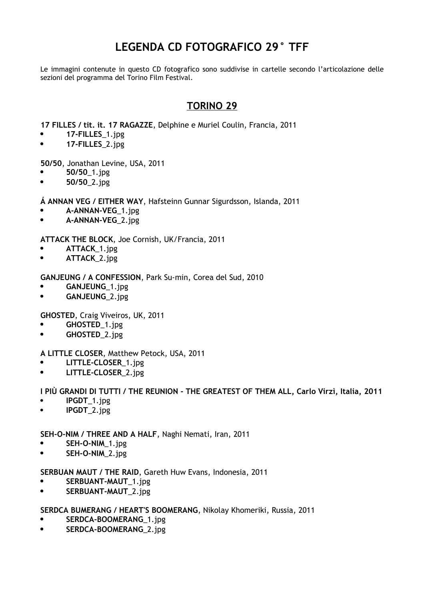# **LEGENDA CD FOTOGRAFICO 29° TFF**

Le immagini contenute in questo CD fotografico sono suddivise in cartelle secondo l'articolazione delle sezioni del programma del Torino Film Festival.

## **TORINO 29**

**17 FILLES / tit. it. 17 RAGAZZE**, Delphine e Muriel Coulin, Francia, 2011

- **17-FILLES**\_1.jpg
- **17-FILLES**\_2.jpg

**50/50**, Jonathan Levine, USA, 2011

- **50/50**\_1.jpg
- **50/50**\_2.jpg

**Á ANNAN VEG / EITHER WAY**, Hafsteinn Gunnar Sigurdsson, Islanda, 2011

- **A-ANNAN-VEG**\_1.jpg
- **A-ANNAN-VEG**\_2.jpg

**ATTACK THE BLOCK**, Joe Cornish, UK/Francia, 2011

- **ATTACK**\_1.jpg
- **ATTACK**\_2.jpg

**GANJEUNG / A CONFESSION**, Park Su-min, Corea del Sud, 2010

- **GANJEUNG**\_1.jpg
- **GANJEUNG**\_2.jpg

**GHOSTED**, Craig Viveiros, UK, 2011

- **GHOSTED**\_1.jpg
- **GHOSTED**\_2.jpg

**A LITTLE CLOSER**, Matthew Petock, USA, 2011

- **LITTLE-CLOSER**\_1.jpg
- **LITTLE-CLOSER**\_2.jpg

**I PIÙ GRANDI DI TUTTI / THE REUNION - THE GREATEST OF THEM ALL, Carlo Virzì, Italia, 2011**

- **IPGDT**\_1.jpg
- **IPGDT**\_2.jpg

**SEH-O-NIM / THREE AND A HALF**, Naghi Nemati, Iran, 2011

- **SEH-O-NIM**\_1.jpg
- **SEH-O-NIM**\_2.jpg

**SERBUAN MAUT / THE RAID**, Gareth Huw Evans, Indonesia, 2011

- **•** SERBUANT-MAUT 1.jpg
- **• SERBUANT-MAUT** 2.jpg

**SERDCA BUMERANG / HEART'S BOOMERANG**, Nikolay Khomeriki, Russia, 2011

- **SERDCA-BOOMERANG**\_1.jpg
- **•** SERDCA-BOOMERANG 2.jpg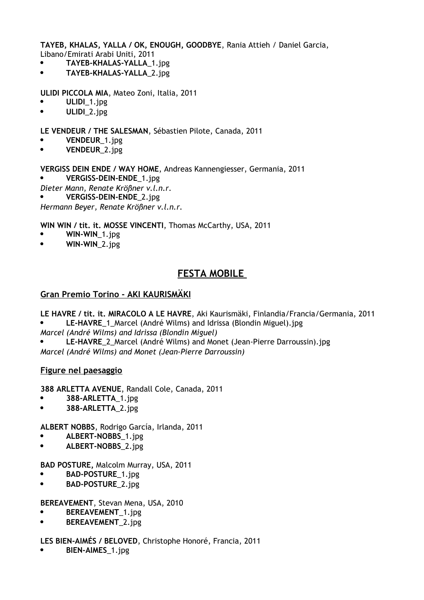**TAYEB, KHALAS, YALLA / OK, ENOUGH, GOODBYE**, Rania Attieh / Daniel Garcia, Libano/Emirati Arabi Uniti, 2011

- **TAYEB-KHALAS-YALLA**\_1.jpg
- **TAYEB-KHALAS-YALLA**\_2.jpg

**ULIDI PICCOLA MIA**, Mateo Zoni, Italia, 2011

- **ULIDI**\_1.jpg
- **ULIDI**\_2.jpg

**LE VENDEUR / THE SALESMAN**, Sébastien Pilote, Canada, 2011

- **VENDEUR**\_1.jpg
- **VENDEUR**\_2.jpg

**VERGISS DEIN ENDE / WAY HOME**, Andreas Kannengiesser, Germania, 2011

- **VERGISS-DEIN-ENDE**\_1.jpg
- *Dieter Mann, Renate Krößner v.l.n.r.*

**VERGISS-DEIN-ENDE**\_2.jpg

*Hermann Beyer, Renate Krößner v.l.n.r.*

**WIN WIN / tit. it. MOSSE VINCENTI**, Thomas McCarthy, USA, 2011

- **WIN-WIN**\_1.jpg
- **WIN-WIN**\_2.jpg

## **FESTA MOBILE**

### **Gran Premio Torino - AKI KAURISMÄKI**

**LE HAVRE / tit. it. MIRACOLO A LE HAVRE**, Aki Kaurismäki, Finlandia/Francia/Germania, 2011 **LE-HAVRE**\_1\_Marcel (André Wilms) and Idrissa (Blondin Miguel).jpg

*Marcel (André Wilms) and Idrissa (Blondin Miguel)*

 **LE-HAVRE**\_2\_Marcel (André Wilms) and Monet (Jean-Pierre Darroussin).jpg *Marcel (André Wilms) and Monet (Jean-Pierre Darroussin)*

### **Figure nel paesaggio**

**388 ARLETTA AVENUE**, Randall Cole, Canada, 2011

- **388-ARLETTA**\_1.jpg
- **388-ARLETTA**\_2.jpg

**ALBERT NOBBS**, Rodrigo García, Irlanda, 2011

- **ALBERT-NOBBS**\_1.jpg
- **ALBERT-NOBBS**\_2.jpg

**BAD POSTURE,** Malcolm Murray, USA, 2011

- **BAD-POSTURE**\_1.jpg
- **BAD-POSTURE**\_2.jpg

**BEREAVEMENT**, Stevan Mena, USA, 2010

- **BEREAVEMENT**\_1.jpg
- **BEREAVEMENT**\_2.jpg

**LES BIEN-AIMÉS / BELOVED**, Christophe Honoré, Francia, 2011

**BIEN-AIMES**\_1.jpg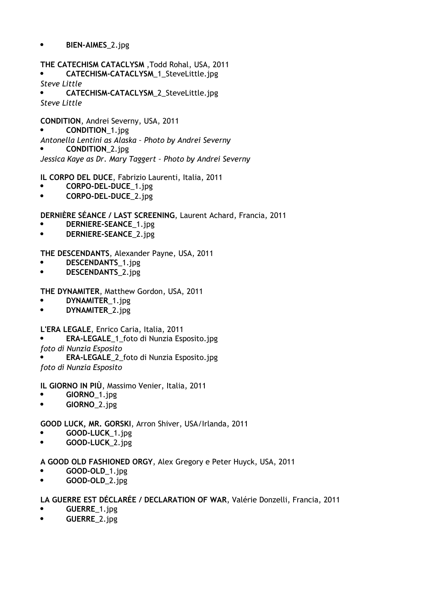### **• BIEN-AIMES** 2.jpg

**THE CATECHISM CATACLYSM** ,Todd Rohal, USA, 2011 **CATECHISM-CATACLYSM**\_1\_SteveLittle.jpg *Steve Little* **CATECHISM-CATACLYSM**\_2\_SteveLittle.jpg *Steve Little*

**CONDITION**, Andrei Severny, USA, 2011 **CONDITION**\_1.jpg *Antonella Lentini as Alaska – Photo by Andrei Severny* **CONDITION**\_2.jpg *Jessica Kaye as Dr. Mary Taggert – Photo by Andrei Severny*

**IL CORPO DEL DUCE**, Fabrizio Laurenti, Italia, 2011

- **CORPO-DEL-DUCE**\_1.jpg
- **CORPO-DEL-DUCE**\_2.jpg

**DERNIÈRE SÉANCE / LAST SCREENING**, Laurent Achard, Francia, 2011

- **DERNIERE-SEANCE**\_1.jpg
- **DERNIERE-SEANCE**\_2.jpg

**THE DESCENDANTS**, Alexander Payne, USA, 2011

- **DESCENDANTS**\_1.jpg
- **DESCENDANTS**\_2.jpg

**THE DYNAMITER**, Matthew Gordon, USA, 2011

- **DYNAMITER**\_1.jpg
- **DYNAMITER**\_2.jpg

**L'ERA LEGALE**, Enrico Caria, Italia, 2011

- **ERA-LEGALE**\_1\_foto di Nunzia Esposito.jpg
- *foto di Nunzia Esposito*

**ERA-LEGALE**\_2\_foto di Nunzia Esposito.jpg

*foto di Nunzia Esposito*

**IL GIORNO IN PIÙ**, Massimo Venier, Italia, 2011

- **GIORNO**\_1.jpg
- **GIORNO**\_2.jpg

**GOOD LUCK, MR. GORSKI**, Arron Shiver, USA/Irlanda, 2011

- **GOOD-LUCK**\_1.jpg
- **GOOD-LUCK**\_2.jpg

**A GOOD OLD FASHIONED ORGY**, Alex Gregory e Peter Huyck, USA, 2011

- **GOOD-OLD**\_1.jpg
- **• GOOD-OLD** 2.jpg

### **LA GUERRE EST DÉCLARÉE / DECLARATION OF WAR**, Valérie Donzelli, Francia, 2011

- **GUERRE**\_1.jpg
- **GUERRE**\_2.jpg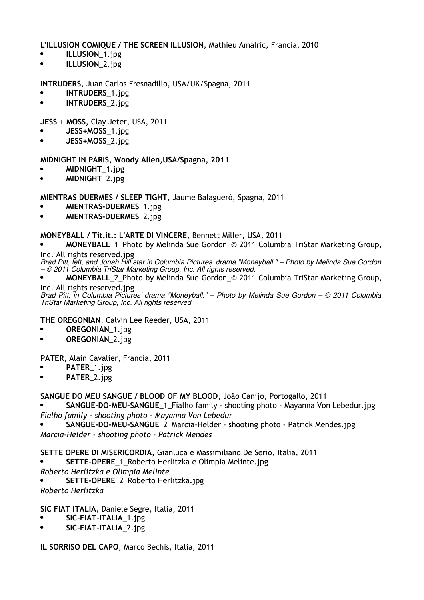**L'ILLUSION COMIQUE / THE SCREEN ILLUSION**, Mathieu Amalric, Francia, 2010

- **• ILLUSION**<sub>\_1.jpg</sub>
- **ILLUSION**\_2.jpg

**INTRUDERS**, Juan Carlos Fresnadillo, USA/UK/Spagna, 2011

- **INTRUDERS**\_1.jpg
- **INTRUDERS**\_2.jpg

**JESS + MOSS,** Clay Jeter, USA, 2011

- **JESS+MOSS**\_1.jpg
- **JESS+MOSS**\_2.jpg

**MIDNIGHT IN PARIS, Woody Allen,USA/Spagna, 2011**

- **MIDNIGHT**\_1.jpg
- **MIDNIGHT**\_2.jpg

**MIENTRAS DUERMES / SLEEP TIGHT**, Jaume Balagueró, Spagna, 2011

- **MIENTRAS-DUERMES**\_1.jpg
- **MIENTRAS-DUERMES**\_2.jpg

**MONEYBALL / Tit.it.: L'ARTE DI VINCERE**, Bennett Miller, USA, 2011

 **MONEYBALL**\_1\_Photo by Melinda Sue Gordon\_© 2011 Columbia TriStar Marketing Group, Inc. All rights reserved.jpg

Brad Pitt, Ieft, and Jonah Hill star in Columbia Pictures' drama "Monevball." - Photo by Melinda Sue Gordon *– © 2011 Columbia TriStar Marketing Group, Inc. All rights reserved.*

 **MONEYBALL**\_2\_Photo by Melinda Sue Gordon\_© 2011 Columbia TriStar Marketing Group, Inc. All rights reserved.jpg

*Brad Pitt, in Columbia Pictures' drama "Moneyball." – Photo by Melinda Sue Gordon – © 2011 Columbia TriStar Marketing Group, Inc. All rights reserved*

**THE OREGONIAN**, Calvin Lee Reeder, USA, 2011

- **OREGONIAN**\_1.jpg
- **OREGONIAN**\_2.jpg

**PATER**, Alain Cavalier, Francia, 2011

- **PATER**\_1.jpg
- **PATER**\_2.jpg

**SANGUE DO MEU SANGUE / BLOOD OF MY BLOOD**, João Canijo, Portogallo, 2011

 **SANGUE-DO-MEU-SANGUE**\_1\_Fialho family - shooting photo - Mayanna Von Lebedur.jpg *Fialho family - shooting photo - Mayanna Von Lebedur*

 **SANGUE-DO-MEU-SANGUE**\_2\_Marcia-Helder - shooting photo - Patrick Mendes.jpg *Marcia-Helder - shooting photo - Patrick Mendes*

**SETTE OPERE DI MISERICORDIA**, Gianluca e Massimiliano De Serio, Italia, 2011

**SETTE-OPERE**\_1\_Roberto Herlitzka e Olimpia Melinte.jpg

*Roberto Herlitzka e Olimpia Melinte*

**SETTE-OPERE**\_2\_Roberto Herlitzka.jpg

*Roberto Herlitzka*

**SIC FIAT ITALIA**, Daniele Segre, Italia, 2011

- **SIC-FIAT-ITALIA**\_1.jpg
- **SIC-FIAT-ITALIA**\_2.jpg

**IL SORRISO DEL CAPO**, Marco Bechis, Italia, 2011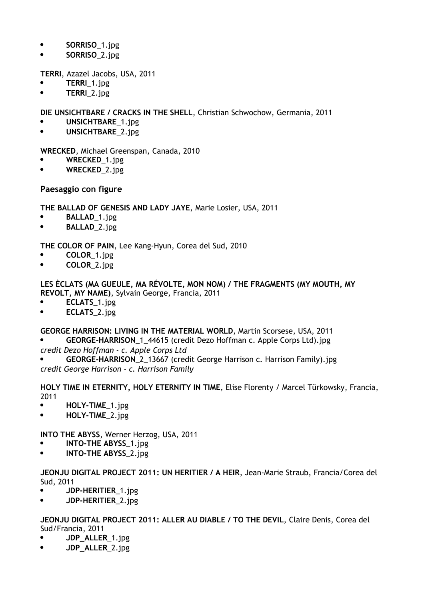- **•** SORRISO 1.jpg
- **SORRISO**\_2.jpg

**TERRI**, Azazel Jacobs, USA, 2011

- **TERRI**\_1.jpg
- **• TERRI** 2.jpg

**DIE UNSICHTBARE / CRACKS IN THE SHELL**, Christian Schwochow, Germania, 2011

- **UNSICHTBARE**\_1.jpg
- **UNSICHTBARE**\_2.jpg

**WRECKED**, Michael Greenspan, Canada, 2010

- **WRECKED**\_1.jpg
- **WRECKED**\_2.jpg

**Paesaggio con figure**

**THE BALLAD OF GENESIS AND LADY JAYE**, Marie Losier, USA, 2011

- **BALLAD**\_1.jpg
- **BALLAD**\_2.jpg

**THE COLOR OF PAIN**, Lee Kang-Hyun, Corea del Sud, 2010

- **COLOR**\_1.jpg
- **COLOR**\_2.jpg

**LES ÈCLATS (MA GUEULE, MA RÉVOLTE, MON NOM) / THE FRAGMENTS (MY MOUTH, MY REVOLT, MY NAME)**, Sylvain George, Francia, 2011

- **ECLATS**\_1.jpg
- **ECLATS**\_2.jpg

**GEORGE HARRISON: LIVING IN THE MATERIAL WORLD**, Martin Scorsese, USA, 2011

- **GEORGE-HARRISON**\_1\_44615 (credit Dezo Hoffman c. Apple Corps Ltd).jpg
- *credit Dezo Hoffman - c. Apple Corps Ltd*
- **GEORGE-HARRISON**\_2\_13667 (credit George Harrison c. Harrison Family).jpg *credit George Harrison - c. Harrison Family*

**HOLY TIME IN ETERNITY, HOLY ETERNITY IN TIME**, Elise Florenty / Marcel Türkowsky, Francia, 2011

- **• HOLY-TIME** 1.jpg
- **HOLY-TIME**\_2.jpg

**INTO THE ABYSS**, Werner Herzog, USA, 2011

- **INTO-THE ABYSS**\_1.jpg
- **INTO-THE ABYSS**\_2.jpg

**JEONJU DIGITAL PROJECT 2011: UN HERITIER / A HEIR**, Jean-Marie Straub, Francia/Corea del Sud, 2011

- **JDP-HERITIER**\_1.jpg
- **JDP-HERITIER**\_2.jpg

**JEONJU DIGITAL PROJECT 2011: ALLER AU DIABLE / TO THE DEVIL**, Claire Denis, Corea del Sud/Francia, 2011

- **JDP\_ALLER**\_1.jpg
- **JDP\_ALLER**\_2.jpg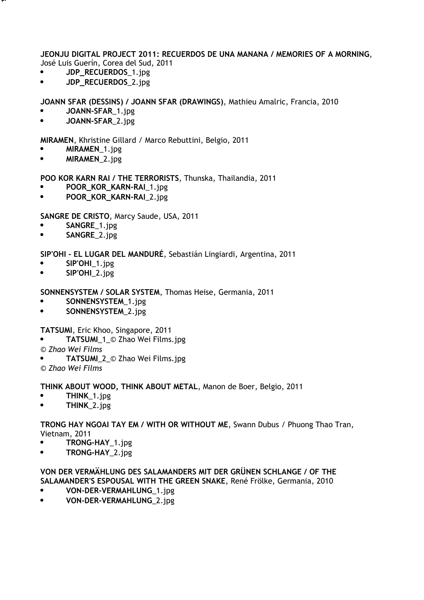**JEONJU DIGITAL PROJECT 2011: RECUERDOS DE UNA MANANA / MEMORIES OF A MORNING**, José Luis Guerín, Corea del Sud, 2011

**JDP\_RECUERDOS**\_1.jpg

**V H**

,

**JDP\_RECUERDOS**\_2.jpg

**JOANN SFAR (DESSINS) / JOANN SFAR (DRAWINGS)**, Mathieu Amalric, Francia, 2010

- **JOANN-SFAR**\_1.jpg
- **JOANN-SFAR**\_2.jpg

**MIRAMEN**, Khristine Gillard / Marco Rebuttini, Belgio, 2011

- **MIRAMEN**\_1.jpg
- **MIRAMEN**\_2.jpg

**POO KOR KARN RAI / THE TERRORISTS**, Thunska, Thailandia, 2011

- **POOR\_KOR\_KARN-RAI**\_1.jpg
- **POOR\_KOR\_KARN-RAI**\_2.jpg

**SANGRE DE CRISTO**, Marcy Saude, USA, 2011

- **SANGRE**\_1.jpg
- **SANGRE**\_2.jpg

**SIP'OHI - EL LUGAR DEL MANDURÉ**, Sebastián Lingiardi, Argentina, 2011

- **SIP'OHI**\_1.jpg
- **SIP'OHI**\_2.jpg

**SONNENSYSTEM / SOLAR SYSTEM**, Thomas Heise, Germania, 2011

- **•** SONNENSYSTEM\_1.jpg
- **•** SONNENSYSTEM 2.jpg

**TATSUMI**, Eric Khoo, Singapore, 2011

- **TATSUMI**\_1\_© Zhao Wei Films.jpg
- *© Zhao Wei Films*
- **TATSUMI**\_2\_© Zhao Wei Films.jpg

*© Zhao Wei Films*

**THINK ABOUT WOOD, THINK ABOUT METAL**, Manon de Boer, Belgio, 2011

- **THINK**\_1.jpg
- **•** THINK 2.jpg

**TRONG HAY NGOAI TAY EM / WITH OR WITHOUT ME**, Swann Dubus / Phuong Thao Tran, Vietnam, 2011

- **TRONG-HAY**\_1.jpg
- **TRONG-HAY**\_2.jpg

**VON DER VERMÄ HLUNG DES SALAMANDERS MIT DER GRÜ NEN SCHLANGE / OF THE SALAMANDER'S ESPOUSAL WITH THE GREEN SNAKE**, René Frölke, Germania, 2010

- **VON-DER-VERMAHLUNG**\_1.jpg
- **VON-DER-VERMAHLUNG**\_2.jpg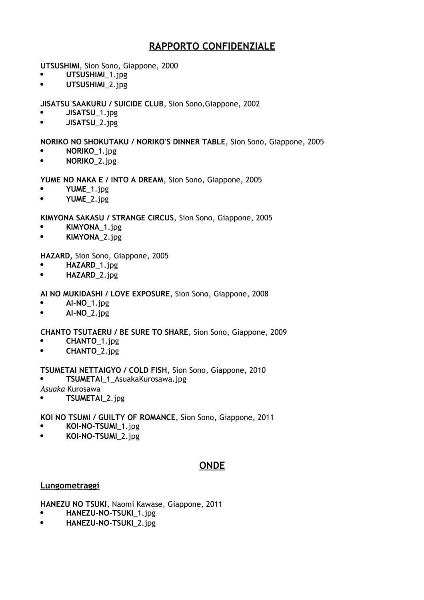## **RAPPORTO CONFIDENZIALE**

**UTSUSHIMI**, Sion Sono, Giappone, 2000

- **UTSUSHIMI**\_1.jpg
- **•** UTSUSHIMI 2.jpg

**JISATSU SAAKURU / SUICIDE CLUB**, Sion Sono,Giappone, 2002

- **JISATSU**\_1.jpg
- **JISATSU**\_2.jpg

### **NORIKO NO SHOKUTAKU / NORIKO'S DINNER TABLE**, Sion Sono, Giappone, 2005

- **NORIKO**\_1.jpg
- **NORIKO**\_2.jpg

### **YUME NO NAKA E / INTO A DREAM**, Sion Sono, Giappone, 2005

- **YUME**\_1.jpg
- **YUME**\_2.jpg

### **KIMYONA SAKASU / STRANGE CIRCUS**, Sion Sono, Giappone, 2005

- **KIMYONA**\_1.jpg
- **KIMYONA**\_2.jpg

### **HAZARD,** Sion Sono, Giappone, 2005

- **HAZARD**\_1.jpg
- **HAZARD**\_2.jpg

### **AI NO MUKIDASHI / LOVE EXPOSURE**, Sion Sono, Giappone, 2008

- **AI-NO**\_1.jpg
- **AI-NO**\_2.jpg

### **CHANTO TSUTAERU / BE SURE TO SHARE**, Sion Sono, Giappone, 2009

- **CHANTO**\_1.jpg
- **CHANTO**\_2.jpg

### **TSUMETAI NETTAIGYO / COLD FISH**, Sion Sono, Giappone, 2010

**TSUMETAI**\_1\_AsuakaKurosawa.jpg

*Asuaka* Kurosawa

**TSUMETAI**\_2.jpg

### **KOI NO TSUMI / GUILTY OF ROMANCE**, Sion Sono, Giappone, 2011

- **KOI-NO-TSUMI**\_1.jpg
- **KOI-NO-TSUMI**\_2.jpg

## **ONDE**

### **Lungometraggi**

**HANEZU NO TSUKI**, Naomi Kawase, Giappone, 2011

- **HANEZU-NO-TSUKI**\_1.jpg
- **HANEZU-NO-TSUKI**\_2.jpg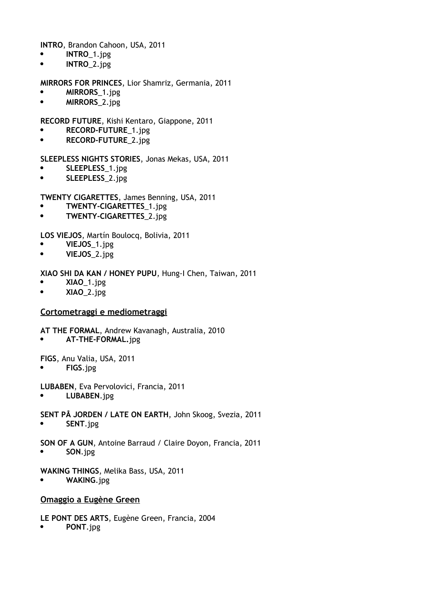**INTRO**, Brandon Cahoon, USA, 2011

- **INTRO**\_1.jpg
- **INTRO**\_2.jpg

**MIRRORS FOR PRINCES**, Lior Shamriz, Germania, 2011

- **MIRRORS**\_1.jpg
- **MIRRORS**\_2.jpg

**RECORD FUTURE**, Kishi Kentaro, Giappone, 2011

- **RECORD-FUTURE**\_1.jpg
- **RECORD-FUTURE**\_2.jpg

**SLEEPLESS NIGHTS STORIES**, Jonas Mekas, USA, 2011

- **SLEEPLESS**\_1.jpg
- **SLEEPLESS**\_2.jpg

**TWENTY CIGARETTES**, James Benning, USA, 2011

- **TWENTY-CIGARETTES**\_1.jpg
- **TWENTY-CIGARETTES**\_2.jpg

**LOS VIEJOS**, Martín Boulocq, Bolivia, 2011

- **VIEJOS**\_1.jpg
- **VIEJOS**\_2.jpg

**XIAO SHI DA KAN / HONEY PUPU**, Hung-I Chen, Taiwan, 2011

- **XIAO**\_1.jpg
- **XIAO**\_2.jpg

### **Cortometraggi e mediometraggi**

**AT THE FORMAL**, Andrew Kavanagh, Australia, 2010

**AT-THE-FORMAL.**jpg

**FIGS**, Anu Valia, USA, 2011

**FIGS**.jpg

**LUBABEN**, Eva Pervolovici, Francia, 2011

**LUBABEN**.jpg

**SENT PÅ JORDEN / LATE ON EARTH**, John Skoog, Svezia, 2011

**SENT**.jpg

**SON OF A GUN**, Antoine Barraud / Claire Doyon, Francia, 2011

**SON**.jpg

**WAKING THINGS**, Melika Bass, USA, 2011

**WAKING**.jpg

#### **Omaggio a Eugène Green**

**LE PONT DES ARTS**, Eugène Green, Francia, 2004

**PONT**.jpg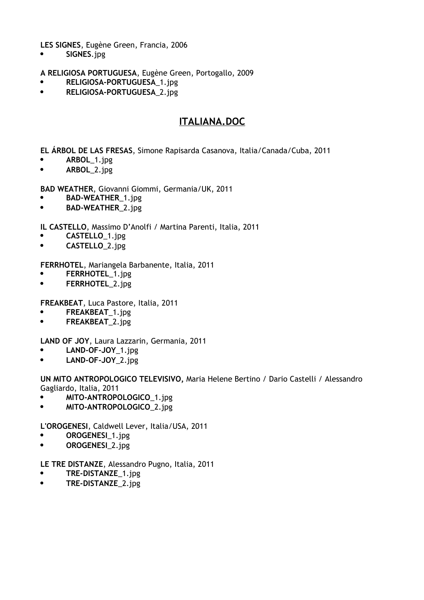**LES SIGNES**, Eugène Green, Francia, 2006

**•** SIGNES.jpg

**A RELIGIOSA PORTUGUESA**, Eugène Green, Portogallo, 2009

- **RELIGIOSA-PORTUGUESA**\_1.jpg
- **•** RELIGIOSA-PORTUGUESA\_2.jpg

## **ITALIANA.DOC**

**EL ÁRBOL DE LAS FRESAS**, Simone Rapisarda Casanova, Italia/Canada/Cuba, 2011

- **ARBOL**\_1.jpg
- **ARBOL**\_2.jpg

**BAD WEATHER**, Giovanni Giommi, Germania/UK, 2011

- **BAD-WEATHER**\_1.jpg
- **BAD-WEATHER**\_2.jpg

**IL CASTELLO**, Massimo D'Anolfi / Martina Parenti, Italia, 2011

- **CASTELLO**\_1.jpg
- **CASTELLO**\_2.jpg

**FERRHOTEL**, Mariangela Barbanente, Italia, 2011

- **FERRHOTEL**\_1.jpg
- **FERRHOTEL**\_2.jpg

**FREAKBEAT**, Luca Pastore, Italia, 2011

- **FREAKBEAT**\_1.jpg
- **FREAKBEAT**\_2.jpg

**LAND OF JOY**, Laura Lazzarin, Germania, 2011

- **LAND-OF-JOY**\_1.jpg
- **LAND-OF-JOY**\_2.jpg

**UN MITO ANTROPOLOGICO TELEVISIVO,** Maria Helene Bertino / Dario Castelli / Alessandro Gagliardo, Italia, 2011

- **•** MITO-ANTROPOLOGICO 1.jpg
- **MITO-ANTROPOLOGICO**\_2.jpg

**L'OROGENESI**, Caldwell Lever, Italia/USA, 2011

- **OROGENESI**\_1.jpg
- **OROGENESI**\_2.jpg

**LE TRE DISTANZE**, Alessandro Pugno, Italia, 2011

- **TRE-DISTANZE**\_1.jpg
- **•** TRE-DISTANZE 2.jpg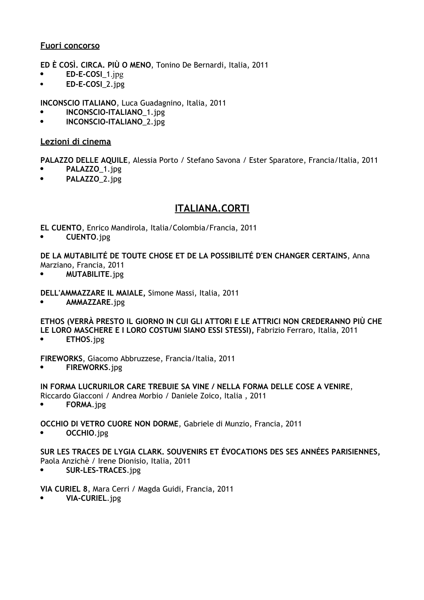### **Fuori concorso**

**ED È COSÌ. CIRCA. PIÙ O MENO**, Tonino De Bernardi, Italia, 2011

- **ED-E-COSI**\_1.jpg
- **ED-E-COSI**\_2.jpg

**INCONSCIO ITALIANO**, Luca Guadagnino, Italia, 2011

- **INCONSCIO-ITALIANO**\_1.jpg
- **INCONSCIO-ITALIANO**\_2.jpg

### **Lezioni di cinema**

**PALAZZO DELLE AQUILE**, Alessia Porto / Stefano Savona / Ester Sparatore, Francia/Italia, 2011

- **PALAZZO**\_1.jpg
- **PALAZZO**\_2.jpg

## **ITALIANA.CORTI**

**EL CUENTO**, Enrico Mandirola, Italia/Colombia/Francia, 2011

**CUENTO**.jpg

**DE LA MUTABILITÉ DE TOUTE CHOSE ET DE LA POSSIBILITÉ D'EN CHANGER CERTAINS**, Anna Marziano, Francia, 2011

**MUTABILITE**.jpg

### **DELL'AMMAZZARE IL MAIALE,** Simone Massi, Italia, 2011

**AMMAZZARE**.jpg

**ETHOS (VERRÀ PRESTO IL GIORNO IN CUI GLI ATTORI E LE ATTRICI NON CREDERANNO PIÙ CHE LE LORO MASCHERE E I LORO COSTUMI SIANO ESSI STESSI),** Fabrizio Ferraro, Italia, 2011

**ETHOS**.jpg

**FIREWORKS**, Giacomo Abbruzzese, Francia/Italia, 2011

**FIREWORKS**.jpg

**IN FORMA LUCRURILOR CARE TREBUIE SA VINE / NELLA FORMA DELLE COSE A VENIRE**,

- Riccardo Giacconi / Andrea Morbio / Daniele Zoico, Italia , 2011
- **FORMA**.jpg

**OCCHIO DI VETRO CUORE NON DORME**, Gabriele di Munzio, Francia, 2011

**OCCHIO**.jpg

#### **SUR LES TRACES DE LYGIA CLARK. SOUVENIRS ET ÉVOCATIONS DES SES ANNÉES PARISIENNES,** Paola Anzichè / Irene Dionisio, Italia, 2011

**SUR-LES-TRACES**.jpg

### **VIA CURIEL 8**, Mara Cerri / Magda Guidi, Francia, 2011

**VIA-CURIEL**.jpg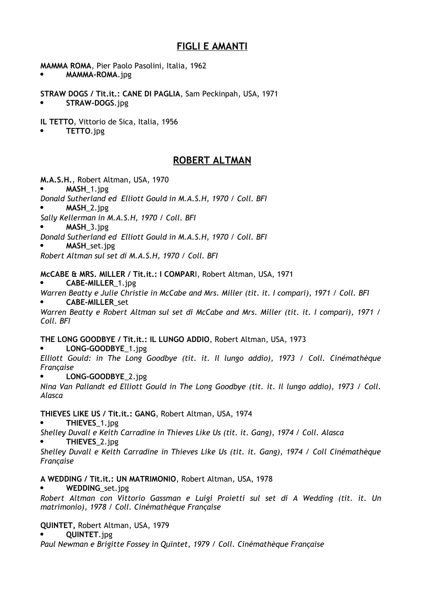## **FIGLI E AMANTI**

**MAMMA ROMA**, Pier Paolo Pasolini, Italia, 1962

**MAMMA-ROMA**.jpg

**STRAW DOGS / Tit.it.: CANE DI PAGLIA**, Sam Peckinpah, USA, 1971 **STRAW-DOGS**.jpg

**IL TETTO**, Vittorio de Sica, Italia, 1956

**TETTO**.jpg

## **ROBERT ALTMAN**

**M.A.S.H.**, Robert Altman, USA, 1970

- **MASH**\_1.jpg
- *Donald Sutherland ed Elliott Gould in M.A.S.H, 1970 / Coll. BFI*
- **MASH**\_2.jpg
- *Sally Kellerman in M.A.S.H, 1970 / Coll. BFI*
- **MASH**\_3.jpg
- *Donald Sutherland ed Elliott Gould in M.A.S.H, 1970 / Coll. BFI*
- **MASH**\_set.jpg

*Robert Altman sul set di M.A.S.H, 1970 / Coll. BFI*

**McCABE & MRS. MILLER / Tit.it.: I COMPAR**I, Robert Altman, USA, 1971

**CABE-MILLER**\_1.jpg

*Warren Beatty e Julie Christie in McCabe and Mrs. Miller (tit. it. I compari), 1971 / Coll. BFI*

**CABE-MILLER**\_set

*Warren Beatty e Robert Altman sul set di McCabe and Mrs. Miller (tit. it. I compari), 1971 / Coll. BFI*

**THE LONG GOODBYE / Tit.it.: IL LUNGO ADDIO**, Robert Altman, USA, 1973

**LONG-GOODBYE**\_1.jpg

*Elliott Gould: in The Long Goodbye (tit. it. Il lungo addio), 1973 / Coll. Cinémathèque Française*

**LONG-GOODBYE**\_2.jpg

*Nina Van Pallandt ed Elliott Gould in The Long Goodbye (tit. it. Il lungo addio), 1973 / Coll. Alasca*

**THIEVES LIKE US / Tit.it.: GANG**, Robert Altman, USA, 1974

**THIEVES**\_1.jpg

*Shelley Duvall e Keith Carradine in Thieves Like Us (tit. it. Gang), 1974 / Coll. Alasca*

**THIEVES**\_2.jpg

*Shelley Duvall e Keith Carradine in Thieves Like Us (tit. it. Gang), 1974 / Coll Cinémathèque Française*

### **A WEDDING / Tit.it.: UN MATRIMONIO**, Robert Altman, USA, 1978

**WEDDING**\_set.jpg

*Robert Altman con Vittorio Gassman e Luigi Proietti sul set di A Wedding (tit. it. Un matrimonio), 1978 / Coll. Cinémathèque Française*

### **QUINTET,** Robert Altman, USA, 1979

**QUINTET**.jpg

*Paul Newman e Brigitte Fossey in Quintet, 1979 / Coll. Cinémathèque Française*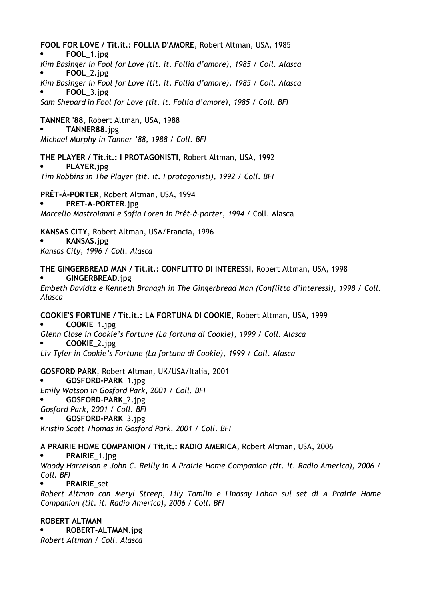**FOOL FOR LOVE / Tit.it.: FOLLIA D'AMORE**, Robert Altman, USA, 1985 **FOOL**\_1**.**jpg *Kim Basinger in Fool for Love (tit. it. Follia d'amore), 1985 / Coll. Alasca* **FOOL**\_2**.**jpg *Kim Basinger in Fool for Love (tit. it. Follia d'amore), 1985 / Coll. Alasca* **FOOL**\_3**.**jpg *Sam Shepard in Fool for Love (tit. it. Follia d'amore), 1985 / Coll. BFI* **TANNER '88**, Robert Altman, USA, 1988 **TANNER88.**jpg *Michael Murphy in Tanner '88, 1988 / Coll. BFI* **THE PLAYER / Tit.it.: I PROTAGONISTI**, Robert Altman, USA, 1992 **PLAYER.**jpg *Tim Robbins in The Player (tit. it. I protagonisti), 1992 / Coll. BFI* **PRÊT-À-PORTER**, Robert Altman, USA, 1994 **PRET-A-PORTER**.jpg *Marcello Mastroianni e Sofia Loren in Prêt-à-porter, 1994 /* Coll. Alasca **KANSAS CITY**, Robert Altman, USA/Francia, 1996 **KANSAS**.jpg *Kansas City, 1996 / Coll. Alasca* **THE GINGERBREAD MAN / Tit.it.: CONFLITTO DI INTERESSI**, Robert Altman, USA, 1998 **GINGERBREAD**.jpg *Embeth Davidtz e Kenneth Branagh in The Gingerbread Man (Conflitto d'interessi), 1998 / Coll. Alasca* **COOKIE'S FORTUNE / Tit.it.: LA FORTUNA DI COOKIE**, Robert Altman, USA, 1999 **COOKIE**\_1.jpg *Glenn Close in Cookie's Fortune (La fortuna di Cookie), 1999 / Coll. Alasca* **COOKIE**\_2.jpg *Liv Tyler in Cookie's Fortune (La fortuna di Cookie), 1999 / Coll. Alasca* **GOSFORD PARK**, Robert Altman, UK/USA/Italia, 2001 **GOSFORD-PARK**\_1.jpg *Emily Watson in Gosford Park, 2001 / Coll. BFI* **GOSFORD-PARK**\_2.jpg *Gosford Park, 2001 / Coll. BFI* **GOSFORD-PARK**\_3.jpg *Kristin Scott Thomas in Gosford Park, 2001 / Coll. BFI* **A PRAIRIE HOME COMPANION / Tit.it.: RADIO AMERICA**, Robert Altman, USA, 2006 **PRAIRIE**\_1.jpg *Woody Harrelson e John C. Reilly in A Prairie Home Companion (tit. it. Radio America), 2006 / Coll. BFI* **PRAIRIE**\_set *Robert Altman con Meryl Streep, Lily Tomlin e Lindsay Lohan sul set di A Prairie Home*

### **ROBERT ALTMAN**

 **ROBERT-ALTMAN**.jpg *Robert Altman / Coll. Alasca*

*Companion (tit. it. Radio America), 2006 / Coll. BFI*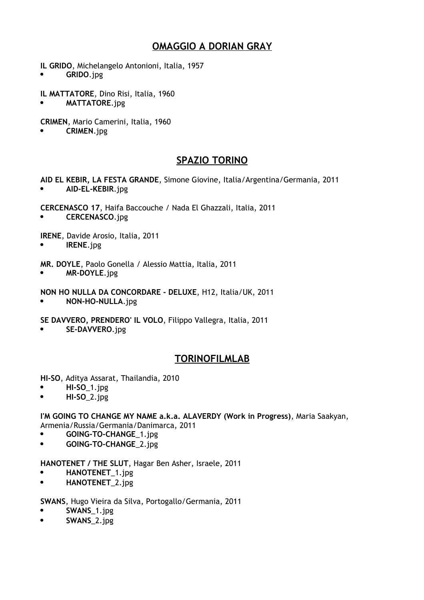## **OMAGGIO A DORIAN GRAY**

**IL GRIDO**, Michelangelo Antonioni, Italia, 1957

**GRIDO**.jpg

**IL MATTATORE**, Dino Risi, Italia, 1960

**MATTATORE**.jpg

**CRIMEN**, Mario Camerini, Italia, 1960

**CRIMEN**.jpg

## **SPAZIO TORINO**

**AID EL KEBIR, LA FESTA GRANDE**, Simone Giovine, Italia/Argentina/Germania, 2011 **AID-EL-KEBIR**.jpg

**CERCENASCO 17**, Haifa Baccouche / Nada El Ghazzali, Italia, 2011

**CERCENASCO**.jpg

**IRENE**, Davide Arosio, Italia, 2011

**IRENE**.jpg

**MR. DOYLE**, Paolo Gonella / Alessio Mattia, Italia, 2011

**MR-DOYLE**.jpg

**NON HO NULLA DA CONCORDARE - DELUXE**, H12, Italia/UK, 2011

**NON-HO-NULLA**.jpg

**SE DAVVERO, PRENDERO' IL VOLO**, Filippo Vallegra, Italia, 2011

**SE-DAVVERO**.jpg

## **TORINOFILMLAB**

**HI-SO**, Aditya Assarat, Thailandia, 2010

- **HI-SO**\_1.jpg
- **HI-SO**\_2.jpg

**I'M GOING TO CHANGE MY NAME a.k.a. ALAVERDY (Work in Progress)**, Maria Saakyan, Armenia/Russia/Germania/Danimarca, 2011

- **GOING-TO-CHANGE**\_1.jpg
- **GOING-TO-CHANGE**\_2.jpg

**HANOTENET / THE SLUT**, Hagar Ben Asher, Israele, 2011

- **HANOTENET**\_1.jpg
- **HANOTENET**\_2.jpg

**SWANS**, Hugo Vieira da Silva, Portogallo/Germania, 2011

- **SWANS**\_1.jpg
- **SWANS**\_2.jpg